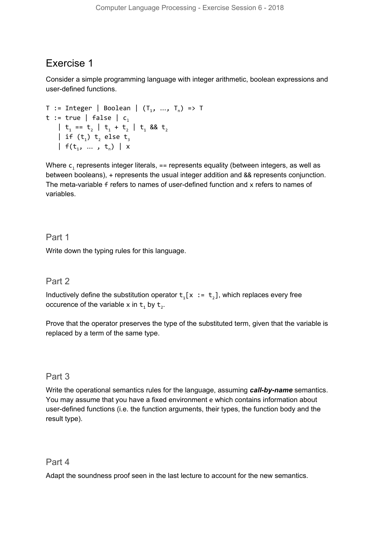# Exercise 1

Consider a simple programming language with integer arithmetic, boolean expressions and user-defined functions.

```
T := Integer | Boolean | (T_1, ..., T_n) => T
t := true | false | c_1| t<sub>1</sub> == t<sub>2</sub> | t<sub>1</sub> + t<sub>2</sub> | t<sub>1</sub> && t<sub>2</sub>
     | if (t_1) t, else t<sub>3</sub>
     | f(t_1, ..., t_n) | x
```
Where  ${\mathsf c}_1$  represents integer literals, == represents equality (between integers, as well as between booleans), + represents the usual integer addition and && represents conjunction. The meta-variable f refers to names of user-defined function and x refers to names of variables.

### Part 1

Write down the typing rules for this language.

# Part 2

Inductively define the substitution operator  $t_1[x := t_2]$ , which replaces every free occurence of the variable x in  $t_1$  by  $t_2$ .

Prove that the operator preserves the type of the substituted term, given that the variable is replaced by a term of the same type.

# Part 3

Write the operational semantics rules for the language, assuming *call-by-name* semantics. You may assume that you have a fixed environment e which contains information about user-defined functions (i.e. the function arguments, their types, the function body and the result type).

#### Part 4

Adapt the soundness proof seen in the last lecture to account for the new semantics.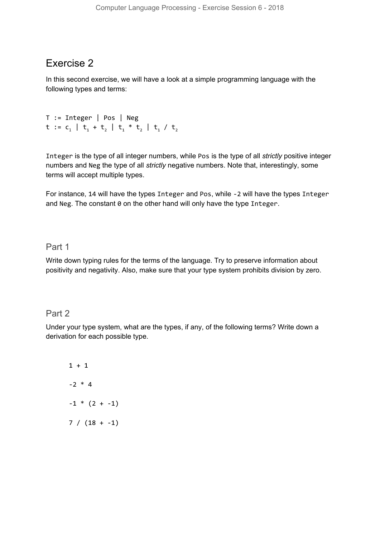# Exercise 2

In this second exercise, we will have a look at a simple programming language with the following types and terms:

```
T := Integer | Pos | Neg
t := c_1 | t_1 + t_2 | t_1 * t_2 | t_1 / t_2
```
Integer is the type of all integer numbers, while Pos is the type of all *strictly* positive integer numbers and Neg the type of all *strictly* negative numbers. Note that, interestingly, some terms will accept multiple types.

For instance, 14 will have the types Integer and Pos, while -2 will have the types Integer and Neg. The constant 0 on the other hand will only have the type Integer.

#### Part 1

Write down typing rules for the terms of the language. Try to preserve information about positivity and negativity. Also, make sure that your type system prohibits division by zero.

#### Part 2

Under your type system, what are the types, if any, of the following terms? Write down a derivation for each possible type.

1 + 1 -2 \* 4  $-1 * (2 + -1)$  $7 / (18 + -1)$